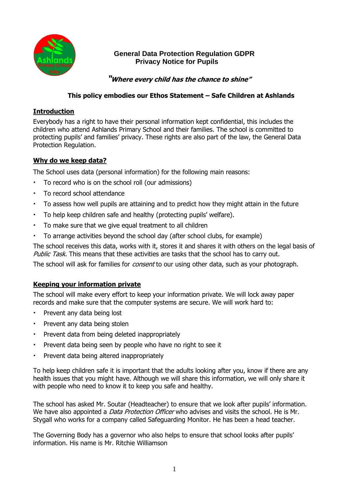

# **General Data Protection Regulation GDPR Privacy Notice for Pupils**

 **"Where every child has the chance to shine"**

## **This policy embodies our Ethos Statement – Safe Children at Ashlands**

## **Introduction**

Everybody has a right to have their personal information kept confidential, this includes the children who attend Ashlands Primary School and their families. The school is committed to protecting pupils' and families' privacy. These rights are also part of the law, the General Data Protection Regulation.

#### **Why do we keep data?**

The School uses data (personal information) for the following main reasons:

- To record who is on the school roll (our admissions)
- To record school attendance
- To assess how well pupils are attaining and to predict how they might attain in the future
- To help keep children safe and healthy (protecting pupils' welfare).
- To make sure that we give equal treatment to all children
- To arrange activities beyond the school day (after school clubs, for example)

The school receives this data, works with it, stores it and shares it with others on the legal basis of Public Task. This means that these activities are tasks that the school has to carry out.

The school will ask for families for *consent* to our using other data, such as your photograph.

## **Keeping your information private**

The school will make every effort to keep your information private. We will lock away paper records and make sure that the computer systems are secure. We will work hard to:

- Prevent any data being lost
- Prevent any data being stolen
- Prevent data from being deleted inappropriately
- Prevent data being seen by people who have no right to see it
- Prevent data being altered inappropriately

To help keep children safe it is important that the adults looking after you, know if there are any health issues that you might have. Although we will share this information, we will only share it with people who need to know it to keep you safe and healthy.

The school has asked Mr. Soutar (Headteacher) to ensure that we look after pupils' information. We have also appointed a *Data Protection Officer* who advises and visits the school. He is Mr. Stygall who works for a company called Safeguarding Monitor. He has been a head teacher.

The Governing Body has a governor who also helps to ensure that school looks after pupils' information. His name is Mr. Ritchie Williamson